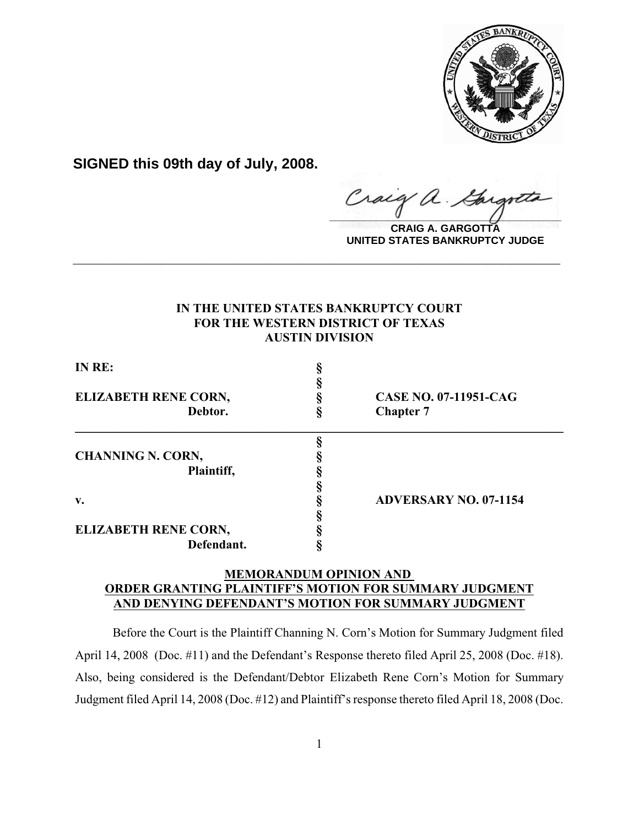

**SIGNED this 09th day of July, 2008.**

raig  $\frac{1}{2}$ 

**CRAIG A. GARGOTTA UNITED STATES BANKRUPTCY JUDGE**

## **IN THE UNITED STATES BANKRUPTCY COURT FOR THE WESTERN DISTRICT OF TEXAS AUSTIN DIVISION**

**\_\_\_\_\_\_\_\_\_\_\_\_\_\_\_\_\_\_\_\_\_\_\_\_\_\_\_\_\_\_\_\_\_\_\_\_\_\_\_\_\_\_\_\_\_\_\_\_\_\_\_\_\_\_\_\_\_\_\_\_**

| IN RE:                      |                              |
|-----------------------------|------------------------------|
|                             |                              |
| <b>ELIZABETH RENE CORN,</b> | <b>CASE NO. 07-11951-CAG</b> |
| Debtor.                     | <b>Chapter 7</b>             |
|                             |                              |
| <b>CHANNING N. CORN,</b>    |                              |
| Plaintiff,                  |                              |
|                             |                              |
| $\mathbf{v}$ .              | <b>ADVERSARY NO. 07-1154</b> |
|                             |                              |
| <b>ELIZABETH RENE CORN,</b> |                              |
| Defendant.                  |                              |

## **MEMORANDUM OPINION AND ORDER GRANTING PLAINTIFF'S MOTION FOR SUMMARY JUDGMENT AND DENYING DEFENDANT'S MOTION FOR SUMMARY JUDGMENT**

Before the Court is the Plaintiff Channing N. Corn's Motion for Summary Judgment filed April 14, 2008 (Doc. #11) and the Defendant's Response thereto filed April 25, 2008 (Doc. #18). Also, being considered is the Defendant/Debtor Elizabeth Rene Corn's Motion for Summary Judgment filed April 14, 2008 (Doc. #12) and Plaintiff's response thereto filed April 18, 2008 (Doc.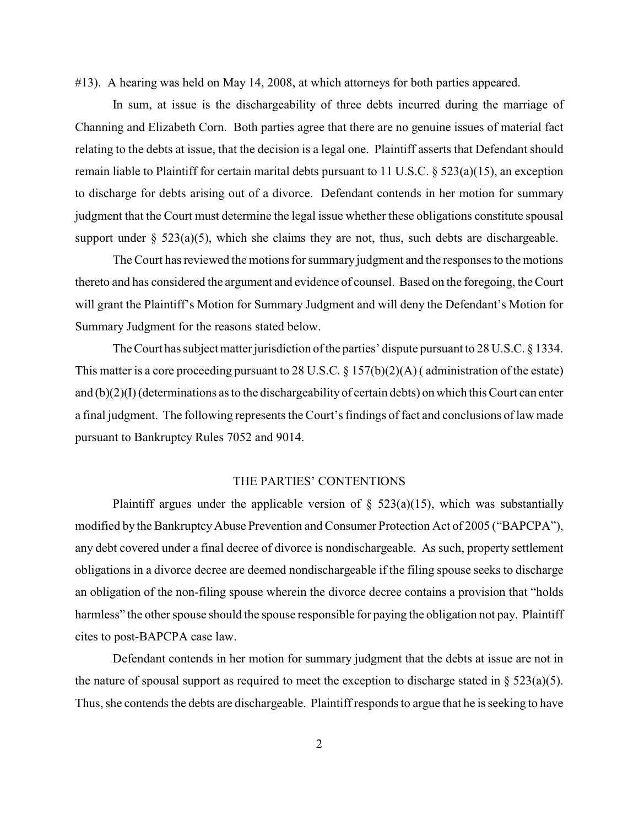#13). A hearing was held on May 14, 2008, at which attorneys for both parties appeared.

In sum, at issue is the dischargeability of three debts incurred during the marriage of Channing and Elizabeth Corn. Both parties agree that there are no genuine issues of material fact relating to the debts at issue, that the decision is a legal one. Plaintiff asserts that Defendant should remain liable to Plaintiff for certain marital debts pursuant to 11 U.S.C. § 523(a)(15), an exception to discharge for debts arising out of a divorce. Defendant contends in her motion for summary judgment that the Court must determine the legal issue whether these obligations constitute spousal support under  $\S$  523(a)(5), which she claims they are not, thus, such debts are dischargeable.

The Court has reviewed the motions for summary judgment and the responses to the motions thereto and has considered the argument and evidence of counsel. Based on the foregoing, the Court will grant the Plaintiff's Motion for Summary Judgment and will deny the Defendant's Motion for Summary Judgment for the reasons stated below.

The Court has subject matter jurisdiction of the parties' dispute pursuant to 28 U.S.C. § 1334. This matter is a core proceeding pursuant to 28 U.S.C. § 157(b)(2)(A) ( administration of the estate) and (b)(2)(I) (determinations as to the dischargeability of certain debts) on which this Court can enter a final judgment. The following represents the Court's findings of fact and conclusions of law made pursuant to Bankruptcy Rules 7052 and 9014.

## THE PARTIES' CONTENTIONS

Plaintiff argues under the applicable version of  $\S$  523(a)(15), which was substantially modified by the Bankruptcy Abuse Prevention and Consumer Protection Act of 2005 ("BAPCPA"), any debt covered under a final decree of divorce is nondischargeable. As such, property settlement obligations in a divorce decree are deemed nondischargeable if the filing spouse seeks to discharge an obligation of the non-filing spouse wherein the divorce decree contains a provision that "holds harmless" the other spouse should the spouse responsible for paying the obligation not pay. Plaintiff cites to post-BAPCPA case law.

Defendant contends in her motion for summary judgment that the debts at issue are not in the nature of spousal support as required to meet the exception to discharge stated in  $\S 523(a)(5)$ . Thus, she contends the debts are dischargeable. Plaintiff responds to argue that he is seeking to have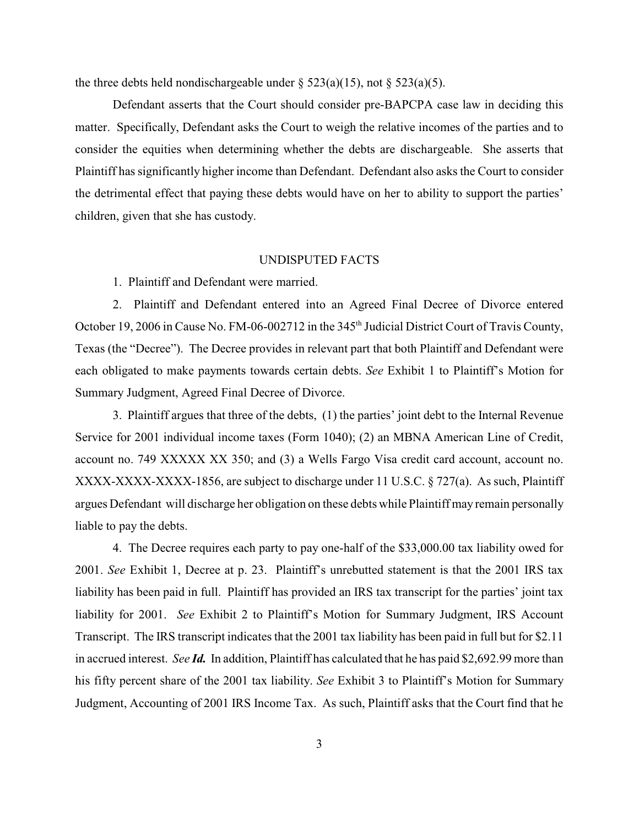the three debts held nondischargeable under  $\S$  523(a)(15), not  $\S$  523(a)(5).

Defendant asserts that the Court should consider pre-BAPCPA case law in deciding this matter. Specifically, Defendant asks the Court to weigh the relative incomes of the parties and to consider the equities when determining whether the debts are dischargeable. She asserts that Plaintiff has significantly higher income than Defendant. Defendant also asks the Court to consider the detrimental effect that paying these debts would have on her to ability to support the parties' children, given that she has custody.

#### UNDISPUTED FACTS

1. Plaintiff and Defendant were married.

2. Plaintiff and Defendant entered into an Agreed Final Decree of Divorce entered October 19, 2006 in Cause No. FM-06-002712 in the 345<sup>th</sup> Judicial District Court of Travis County, Texas (the "Decree"). The Decree provides in relevant part that both Plaintiff and Defendant were each obligated to make payments towards certain debts. *See* Exhibit 1 to Plaintiff's Motion for Summary Judgment, Agreed Final Decree of Divorce.

3. Plaintiff argues that three of the debts, (1) the parties' joint debt to the Internal Revenue Service for 2001 individual income taxes (Form 1040); (2) an MBNA American Line of Credit, account no. 749 XXXXX XX 350; and (3) a Wells Fargo Visa credit card account, account no. XXXX-XXXX-XXXX-1856, are subject to discharge under 11 U.S.C. § 727(a). As such, Plaintiff argues Defendant will discharge her obligation on these debts while Plaintiff may remain personally liable to pay the debts.

4. The Decree requires each party to pay one-half of the \$33,000.00 tax liability owed for 2001. *See* Exhibit 1, Decree at p. 23. Plaintiff's unrebutted statement is that the 2001 IRS tax liability has been paid in full. Plaintiff has provided an IRS tax transcript for the parties' joint tax liability for 2001. *See* Exhibit 2 to Plaintiff's Motion for Summary Judgment, IRS Account Transcript. The IRS transcript indicates that the 2001 tax liability has been paid in full but for \$2.11 in accrued interest. *See Id.* In addition, Plaintiff has calculated that he has paid \$2,692.99 more than his fifty percent share of the 2001 tax liability. *See* Exhibit 3 to Plaintiff's Motion for Summary Judgment, Accounting of 2001 IRS Income Tax. As such, Plaintiff asks that the Court find that he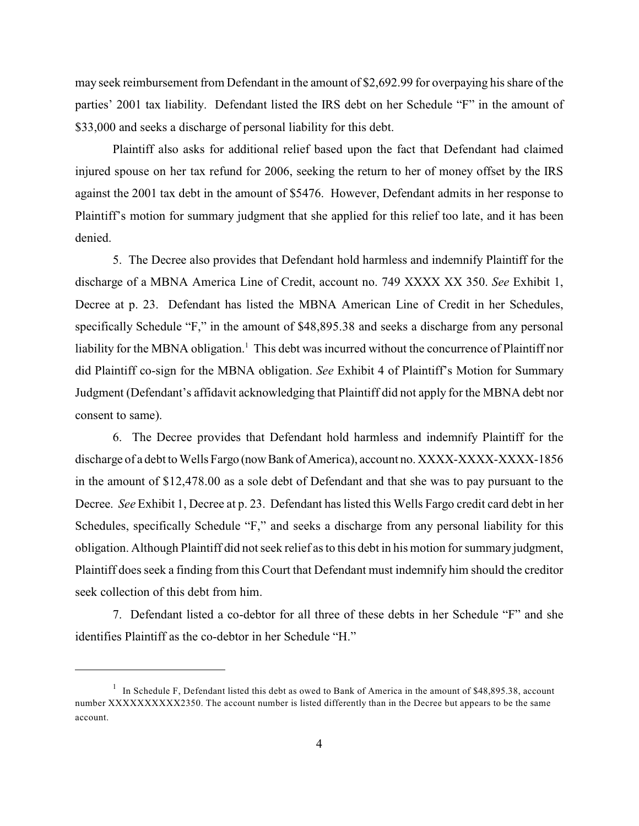may seek reimbursement from Defendant in the amount of \$2,692.99 for overpaying his share of the parties' 2001 tax liability. Defendant listed the IRS debt on her Schedule "F" in the amount of \$33,000 and seeks a discharge of personal liability for this debt.

Plaintiff also asks for additional relief based upon the fact that Defendant had claimed injured spouse on her tax refund for 2006, seeking the return to her of money offset by the IRS against the 2001 tax debt in the amount of \$5476. However, Defendant admits in her response to Plaintiff's motion for summary judgment that she applied for this relief too late, and it has been denied.

5. The Decree also provides that Defendant hold harmless and indemnify Plaintiff for the discharge of a MBNA America Line of Credit, account no. 749 XXXX XX 350. *See* Exhibit 1, Decree at p. 23. Defendant has listed the MBNA American Line of Credit in her Schedules, specifically Schedule "F," in the amount of \$48,895.38 and seeks a discharge from any personal liability for the MBNA obligation.<sup>1</sup> This debt was incurred without the concurrence of Plaintiff nor did Plaintiff co-sign for the MBNA obligation. *See* Exhibit 4 of Plaintiff's Motion for Summary Judgment (Defendant's affidavit acknowledging that Plaintiff did not apply for the MBNA debt nor consent to same).

6. The Decree provides that Defendant hold harmless and indemnify Plaintiff for the discharge of a debt to Wells Fargo (now Bank of America), account no. XXXX-XXXX-XXXX-1856 in the amount of \$12,478.00 as a sole debt of Defendant and that she was to pay pursuant to the Decree. *See* Exhibit 1, Decree at p. 23. Defendant has listed this Wells Fargo credit card debt in her Schedules, specifically Schedule "F," and seeks a discharge from any personal liability for this obligation. Although Plaintiff did not seek relief as to this debt in his motion for summary judgment, Plaintiff does seek a finding from this Court that Defendant must indemnify him should the creditor seek collection of this debt from him.

7. Defendant listed a co-debtor for all three of these debts in her Schedule "F" and she identifies Plaintiff as the co-debtor in her Schedule "H."

 $1$  In Schedule F, Defendant listed this debt as owed to Bank of America in the amount of \$48,895.38, account number XXXXXXXXXX2350. The account number is listed differently than in the Decree but appears to be the same account.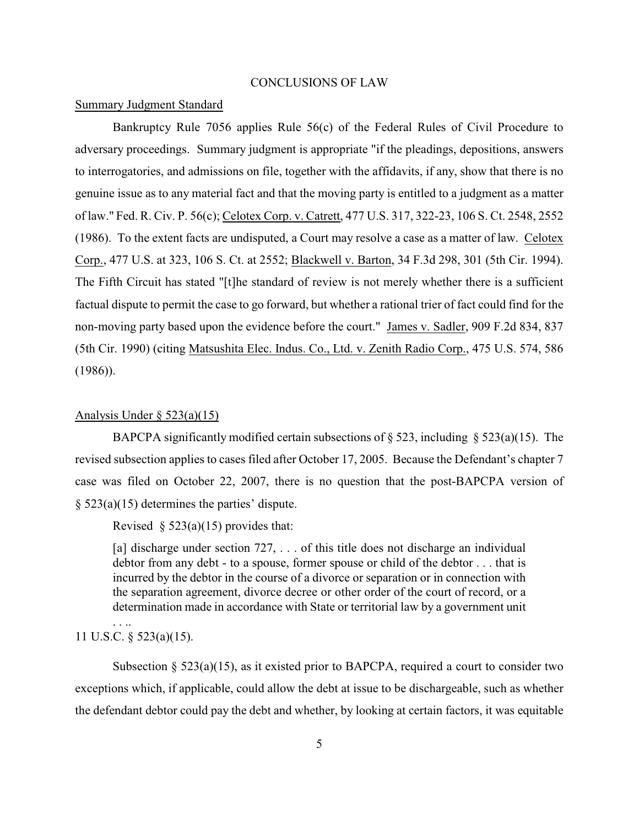### CONCLUSIONS OF LAW

#### Summary Judgment Standard

Bankruptcy Rule 7056 applies Rule 56(c) of the Federal Rules of Civil Procedure to adversary proceedings. Summary judgment is appropriate "if the pleadings, depositions, answers to interrogatories, and admissions on file, together with the affidavits, if any, show that there is no genuine issue as to any material fact and that the moving party is entitled to a judgment as a matter of law." Fed. R. Civ. P. 56(c); Celotex Corp. v. Catrett, 477 U.S. 317, 322-23, 106 S. Ct. 2548, 2552 (1986). To the extent facts are undisputed, a Court may resolve a case as a matter of law. Celotex Corp., 477 U.S. at 323, 106 S. Ct. at 2552; Blackwell v. Barton, 34 F.3d 298, 301 (5th Cir. 1994). The Fifth Circuit has stated "[t]he standard of review is not merely whether there is a sufficient factual dispute to permit the case to go forward, but whether a rational trier of fact could find for the non-moving party based upon the evidence before the court." James v. Sadler, 909 F.2d 834, 837 (5th Cir. 1990) (citing Matsushita Elec. Indus. Co., Ltd. v. Zenith Radio Corp., 475 U.S. 574, 586 (1986)).

#### Analysis Under  $\S$  523(a)(15)

BAPCPA significantly modified certain subsections of  $\S 523$ , including  $\S 523(a)(15)$ . The revised subsection applies to cases filed after October 17, 2005. Because the Defendant's chapter 7 case was filed on October 22, 2007, there is no question that the post-BAPCPA version of § 523(a)(15) determines the parties' dispute.

Revised  $\S$  523(a)(15) provides that:

[a] discharge under section 727, ... of this title does not discharge an individual debtor from any debt - to a spouse, former spouse or child of the debtor . . . that is incurred by the debtor in the course of a divorce or separation or in connection with the separation agreement, divorce decree or other order of the court of record, or a determination made in accordance with State or territorial law by a government unit

# 11 U.S.C. § 523(a)(15).

. . ..

Subsection  $\S 523(a)(15)$ , as it existed prior to BAPCPA, required a court to consider two exceptions which, if applicable, could allow the debt at issue to be dischargeable, such as whether the defendant debtor could pay the debt and whether, by looking at certain factors, it was equitable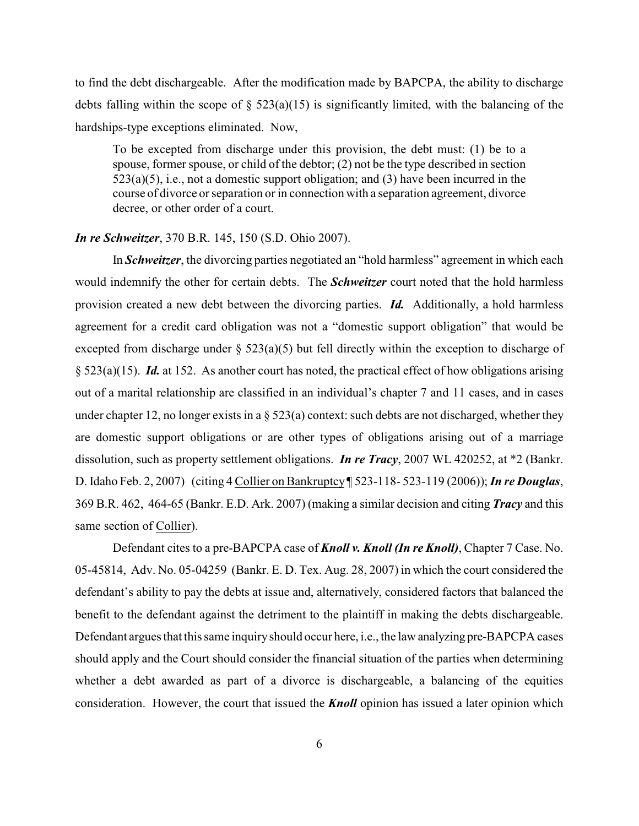to find the debt dischargeable. After the modification made by BAPCPA, the ability to discharge debts falling within the scope of  $\S$  523(a)(15) is significantly limited, with the balancing of the hardships-type exceptions eliminated. Now,

To be excepted from discharge under this provision, the debt must: (1) be to a spouse, former spouse, or child of the debtor; (2) not be the type described in section  $523(a)(5)$ , i.e., not a domestic support obligation; and (3) have been incurred in the course of divorce or separation or in connection with a separation agreement, divorce decree, or other order of a court.

### *In re Schweitzer*, 370 B.R. 145, 150 (S.D. Ohio 2007).

In *Schweitzer*, the divorcing parties negotiated an "hold harmless" agreement in which each would indemnify the other for certain debts. The *Schweitzer* court noted that the hold harmless provision created a new debt between the divorcing parties. *Id.* Additionally, a hold harmless agreement for a credit card obligation was not a "domestic support obligation" that would be excepted from discharge under  $\S$  523(a)(5) but fell directly within the exception to discharge of § 523(a)(15). *Id.* at 152. As another court has noted, the practical effect of how obligations arising out of a marital relationship are classified in an individual's chapter 7 and 11 cases, and in cases under chapter 12, no longer exists in a  $\S 523(a)$  context: such debts are not discharged, whether they are domestic support obligations or are other types of obligations arising out of a marriage dissolution, such as property settlement obligations. *In re Tracy*, 2007 WL 420252, at \*2 (Bankr. D. Idaho Feb. 2, 2007) (citing 4 Collier on Bankruptcy ¶ 523-118- 523-119 (2006)); *In re Douglas*, 369 B.R. 462, 464-65 (Bankr. E.D. Ark. 2007) (making a similar decision and citing *Tracy* and this same section of Collier).

Defendant cites to a pre-BAPCPA case of *Knoll v. Knoll (In re Knoll)*, Chapter 7 Case. No. 05-45814, Adv. No. 05-04259 (Bankr. E. D. Tex. Aug. 28, 2007) in which the court considered the defendant's ability to pay the debts at issue and, alternatively, considered factors that balanced the benefit to the defendant against the detriment to the plaintiff in making the debts dischargeable. Defendant argues that this same inquiry should occur here, i.e., the law analyzing pre-BAPCPA cases should apply and the Court should consider the financial situation of the parties when determining whether a debt awarded as part of a divorce is dischargeable, a balancing of the equities consideration. However, the court that issued the *Knoll* opinion has issued a later opinion which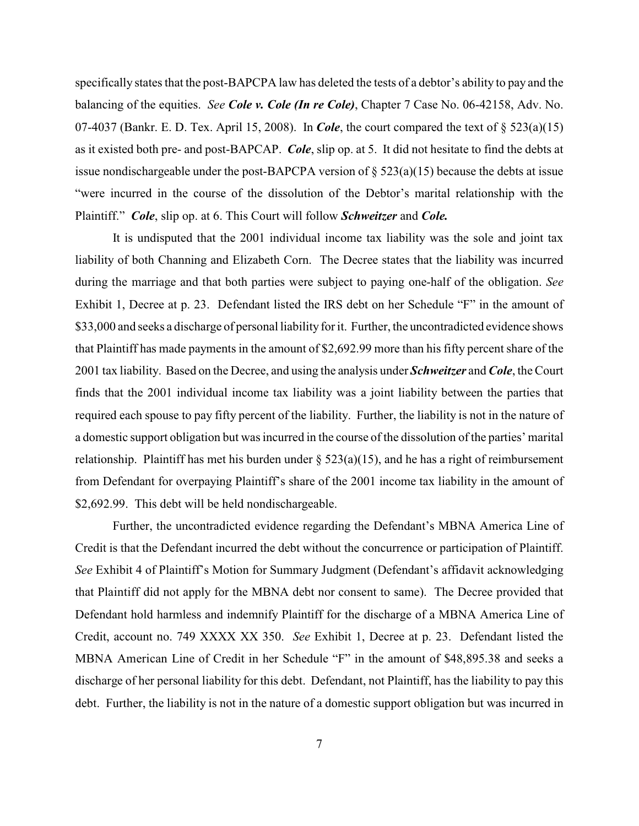specifically states that the post-BAPCPA law has deleted the tests of a debtor's ability to pay and the balancing of the equities. *See Cole v. Cole (In re Cole)*, Chapter 7 Case No. 06-42158, Adv. No. 07-4037 (Bankr. E. D. Tex. April 15, 2008). In *Cole*, the court compared the text of § 523(a)(15) as it existed both pre- and post-BAPCAP. *Cole*, slip op. at 5. It did not hesitate to find the debts at issue nondischargeable under the post-BAPCPA version of  $\S 523(a)(15)$  because the debts at issue "were incurred in the course of the dissolution of the Debtor's marital relationship with the Plaintiff." *Cole*, slip op. at 6. This Court will follow *Schweitzer* and *Cole.*

It is undisputed that the 2001 individual income tax liability was the sole and joint tax liability of both Channing and Elizabeth Corn. The Decree states that the liability was incurred during the marriage and that both parties were subject to paying one-half of the obligation. *See* Exhibit 1, Decree at p. 23. Defendant listed the IRS debt on her Schedule "F" in the amount of \$33,000 and seeks a discharge of personal liability for it. Further, the uncontradicted evidence shows that Plaintiff has made payments in the amount of \$2,692.99 more than his fifty percent share of the 2001 tax liability. Based on the Decree, and using the analysis under *Schweitzer* and *Cole*, the Court finds that the 2001 individual income tax liability was a joint liability between the parties that required each spouse to pay fifty percent of the liability. Further, the liability is not in the nature of a domestic support obligation but was incurred in the course of the dissolution of the parties' marital relationship. Plaintiff has met his burden under  $\S$  523(a)(15), and he has a right of reimbursement from Defendant for overpaying Plaintiff's share of the 2001 income tax liability in the amount of \$2,692.99. This debt will be held nondischargeable.

Further, the uncontradicted evidence regarding the Defendant's MBNA America Line of Credit is that the Defendant incurred the debt without the concurrence or participation of Plaintiff. *See* Exhibit 4 of Plaintiff's Motion for Summary Judgment (Defendant's affidavit acknowledging that Plaintiff did not apply for the MBNA debt nor consent to same). The Decree provided that Defendant hold harmless and indemnify Plaintiff for the discharge of a MBNA America Line of Credit, account no. 749 XXXX XX 350. *See* Exhibit 1, Decree at p. 23. Defendant listed the MBNA American Line of Credit in her Schedule "F" in the amount of \$48,895.38 and seeks a discharge of her personal liability for this debt. Defendant, not Plaintiff, has the liability to pay this debt. Further, the liability is not in the nature of a domestic support obligation but was incurred in